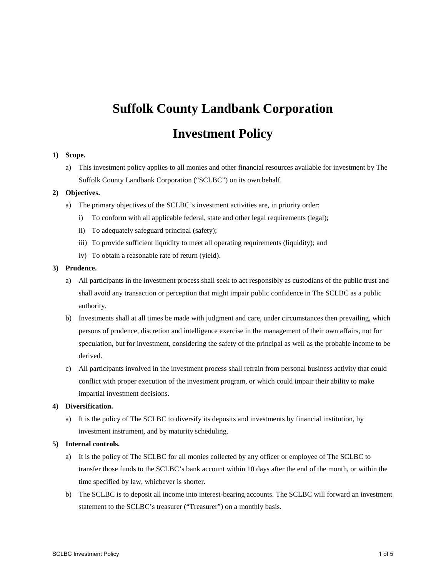# **Suffolk County Landbank Corporation Investment Policy**

#### **1) Scope.**

a) This investment policy applies to all monies and other financial resources available for investment by The Suffolk County Landbank Corporation ("SCLBC") on its own behalf.

# **2) Objectives.**

- a) The primary objectives of the SCLBC's investment activities are, in priority order:
	- i) To conform with all applicable federal, state and other legal requirements (legal);
	- ii) To adequately safeguard principal (safety);
	- iii) To provide sufficient liquidity to meet all operating requirements (liquidity); and
	- iv) To obtain a reasonable rate of return (yield).

### **3) Prudence.**

- a) All participants in the investment process shall seek to act responsibly as custodians of the public trust and shall avoid any transaction or perception that might impair public confidence in The SCLBC as a public authority.
- b) Investments shall at all times be made with judgment and care, under circumstances then prevailing, which persons of prudence, discretion and intelligence exercise in the management of their own affairs, not for speculation, but for investment, considering the safety of the principal as well as the probable income to be derived.
- c) All participants involved in the investment process shall refrain from personal business activity that could conflict with proper execution of the investment program, or which could impair their ability to make impartial investment decisions.

# **4) Diversification.**

a) It is the policy of The SCLBC to diversify its deposits and investments by financial institution, by investment instrument, and by maturity scheduling.

#### **5) Internal controls.**

- a) It is the policy of The SCLBC for all monies collected by any officer or employee of The SCLBC to transfer those funds to the SCLBC's bank account within 10 days after the end of the month, or within the time specified by law, whichever is shorter.
- b) The SCLBC is to deposit all income into interest-bearing accounts. The SCLBC will forward an investment statement to the SCLBC's treasurer ("Treasurer") on a monthly basis.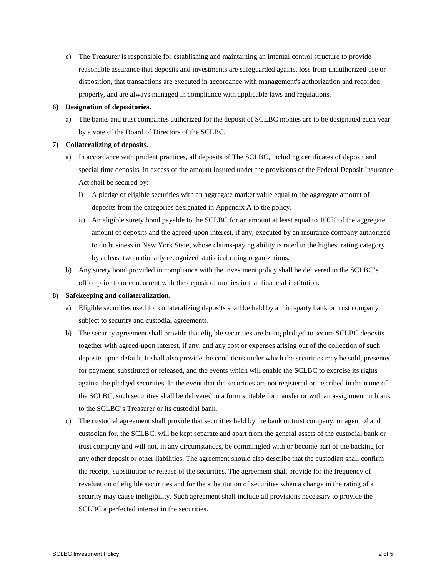c) The Treasurer is responsible for establishing and maintaining an internal control structure to provide reasonable assurance that deposits and investments are safeguarded against loss from unauthorized use or disposition, that transactions are executed in accordance with management's authorization and recorded properly, and are always managed in compliance with applicable laws and regulations.

#### **6) Designation of depositories.**

a) The banks and trust companies authorized for the deposit of SCLBC monies are to be designated each year by a vote of the Board of Directors of the SCLBC.

# **7) Collateralizing of deposits.**

- a) In accordance with prudent practices, all deposits of The SCLBC, including certificates of deposit and special time deposits, in excess of the amount insured under the provisions of the Federal Deposit Insurance Act shall be secured by:
	- i) A pledge of eligible securities with an aggregate market value equal to the aggregate amount of deposits from the categories designated in Appendix A to the policy.
	- ii) An eligible surety bond payable to the SCLBC for an amount at least equal to 100% of the aggregate amount of deposits and the agreed-upon interest, if any, executed by an insurance company authorized to do business in New York State, whose claims-paying ability is rated in the highest rating category by at least two nationally recognized statistical rating organizations.
- b) Any surety bond provided in compliance with the investment policy shall be delivered to the SCLBC's office prior to or concurrent with the deposit of monies in that financial institution.

#### **8) Safekeeping and collateralization.**

- a) Eligible securities used for collateralizing deposits shall be held by a third-party bank or trust company subject to security and custodial agreements.
- b) The security agreement shall provide that eligible securities are being pledged to secure SCLBC deposits together with agreed-upon interest, if any, and any cost or expenses arising out of the collection of such deposits upon default. It shall also provide the conditions under which the securities may be sold, presented for payment, substituted or released, and the events which will enable the SCLBC to exercise its rights against the pledged securities. In the event that the securities are not registered or inscribed in the name of the SCLBC, such securities shall be delivered in a form suitable for transfer or with an assignment in blank to the SCLBC's Treasurer or its custodial bank.
- c) The custodial agreement shall provide that securities held by the bank or trust company, or agent of and custodian for, the SCLBC, will be kept separate and apart from the general assets of the custodial bank or trust company and will not, in any circumstances, be commingled with or become part of the backing for any other deposit or other liabilities. The agreement should also describe that the custodian shall confirm the receipt, substitution or release of the securities. The agreement shall provide for the frequency of revaluation of eligible securities and for the substitution of securities when a change in the rating of a security may cause ineligibility. Such agreement shall include all provisions necessary to provide the SCLBC a perfected interest in the securities.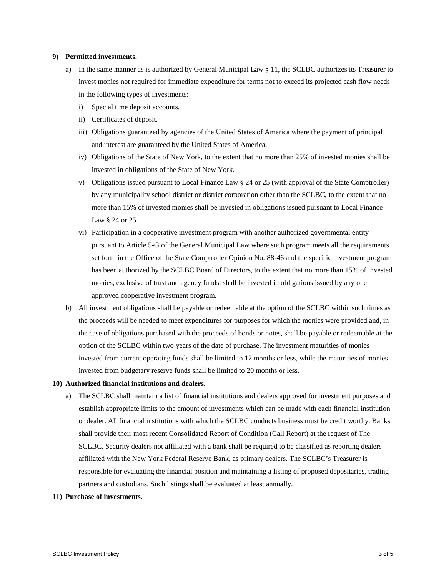# **9) Permitted investments.**

- a) In the same manner as is authorized by General Municipal Law  $\S 11$ , the SCLBC authorizes its Treasurer to invest monies not required for immediate expenditure for terms not to exceed its projected cash flow needs in the following types of investments:
	- i) Special time deposit accounts.
	- ii) Certificates of deposit.
	- iii) Obligations guaranteed by agencies of the United States of America where the payment of principal and interest are guaranteed by the United States of America.
	- iv) Obligations of the State of New York, to the extent that no more than 25% of invested monies shall be invested in obligations of the State of New York.
	- v) Obligations issued pursuant to Local Finance Law § 24 or 25 (with approval of the State Comptroller) by any municipality school district or district corporation other than the SCLBC, to the extent that no more than 15% of invested monies shall be invested in obligations issued pursuant to Local Finance Law § 24 or 25.
	- vi) Participation in a cooperative investment program with another authorized governmental entity pursuant to Article 5-G of the General Municipal Law where such program meets all the requirements set forth in the Office of the State Comptroller Opinion No. 88-46 and the specific investment program has been authorized by the SCLBC Board of Directors, to the extent that no more than 15% of invested monies, exclusive of trust and agency funds, shall be invested in obligations issued by any one approved cooperative investment program.
- b) All investment obligations shall be payable or redeemable at the option of the SCLBC within such times as the proceeds will be needed to meet expenditures for purposes for which the monies were provided and, in the case of obligations purchased with the proceeds of bonds or notes, shall be payable or redeemable at the option of the SCLBC within two years of the date of purchase. The investment maturities of monies invested from current operating funds shall be limited to 12 months or less, while the maturities of monies invested from budgetary reserve funds shall be limited to 20 months or less.

#### **10) Authorized financial institutions and dealers.**

a) The SCLBC shall maintain a list of financial institutions and dealers approved for investment purposes and establish appropriate limits to the amount of investments which can be made with each financial institution or dealer. All financial institutions with which the SCLBC conducts business must be credit worthy. Banks shall provide their most recent Consolidated Report of Condition (Call Report) at the request of The SCLBC. Security dealers not affiliated with a bank shall be required to be classified as reporting dealers affiliated with the New York Federal Reserve Bank, as primary dealers. The SCLBC's Treasurer is responsible for evaluating the financial position and maintaining a listing of proposed depositaries, trading partners and custodians. Such listings shall be evaluated at least annually.

# **11) Purchase of investments.**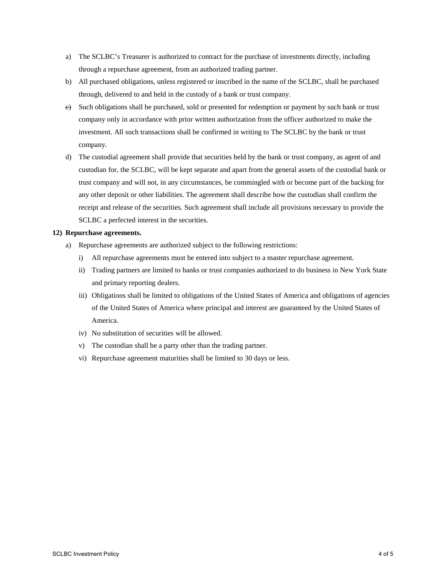- a) The SCLBC's Treasurer is authorized to contract for the purchase of investments directly, including through a repurchase agreement, from an authorized trading partner.
- b) All purchased obligations, unless registered or inscribed in the name of the SCLBC, shall be purchased through, delivered to and held in the custody of a bank or trust company.
- e) Such obligations shall be purchased, sold or presented for redemption or payment by such bank or trust company only in accordance with prior written authorization from the officer authorized to make the investment. All such transactions shall be confirmed in writing to The SCLBC by the bank or trust company.
- d) The custodial agreement shall provide that securities held by the bank or trust company, as agent of and custodian for, the SCLBC, will be kept separate and apart from the general assets of the custodial bank or trust company and will not, in any circumstances, be commingled with or become part of the backing for any other deposit or other liabilities. The agreement shall describe how the custodian shall confirm the receipt and release of the securities. Such agreement shall include all provisions necessary to provide the SCLBC a perfected interest in the securities.

#### **12) Repurchase agreements.**

- a) Repurchase agreements are authorized subject to the following restrictions:
	- i) All repurchase agreements must be entered into subject to a master repurchase agreement.
	- ii) Trading partners are limited to banks or trust companies authorized to do business in New York State and primary reporting dealers.
	- iii) Obligations shall be limited to obligations of the United States of America and obligations of agencies of the United States of America where principal and interest are guaranteed by the United States of America.
	- iv) No substitution of securities will be allowed.
	- v) The custodian shall be a party other than the trading partner.
	- vi) Repurchase agreement maturities shall be limited to 30 days or less.